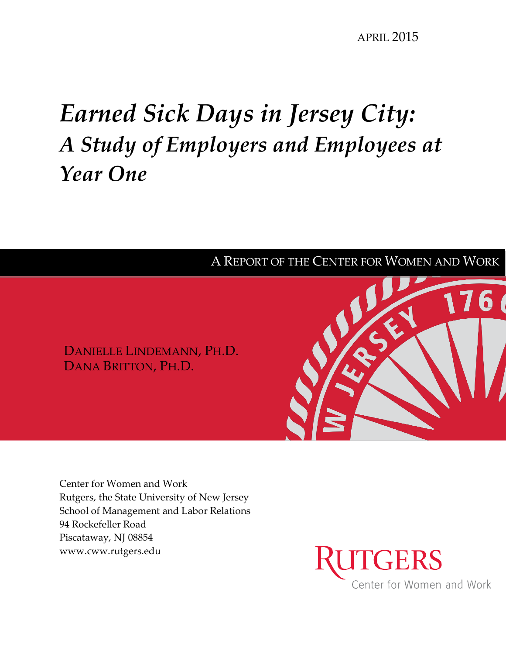# *Earned Sick Days in Jersey City: A Study of Employers and Employees at Year One*



Center for Women and Work Rutgers, the State University of New Jersey School of Management and Labor Relations 94 Rockefeller Road Piscataway, NJ 08854 www.cww.rutgers.edu

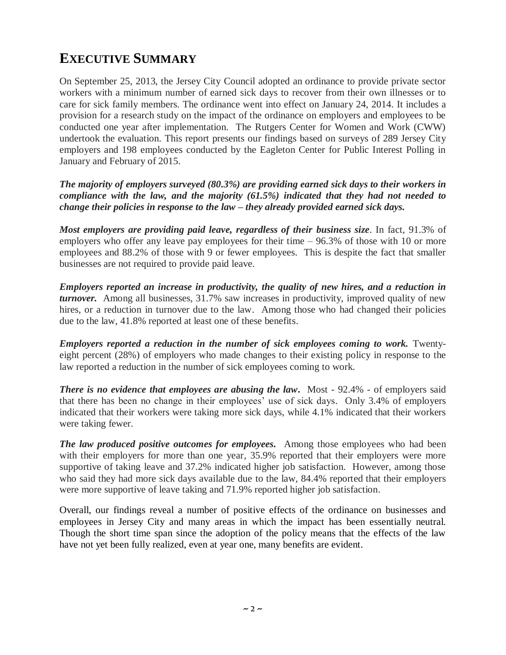# **EXECUTIVE SUMMARY**

On September 25, 2013, the Jersey City Council adopted an ordinance to provide private sector workers with a minimum number of earned sick days to recover from their own illnesses or to care for sick family members. The ordinance went into effect on January 24, 2014. It includes a provision for a research study on the impact of the ordinance on employers and employees to be conducted one year after implementation. The Rutgers Center for Women and Work (CWW) undertook the evaluation. This report presents our findings based on surveys of 289 Jersey City employers and 198 employees conducted by the Eagleton Center for Public Interest Polling in January and February of 2015.

*The majority of employers surveyed (80.3%) are providing earned sick days to their workers in compliance with the law, and the majority (61.5%) indicated that they had not needed to change their policies in response to the law – they already provided earned sick days.* 

*Most employers are providing paid leave, regardless of their business size*. In fact, 91.3% of employers who offer any leave pay employees for their time – 96.3% of those with 10 or more employees and 88.2% of those with 9 or fewer employees. This is despite the fact that smaller businesses are not required to provide paid leave.

*Employers reported an increase in productivity, the quality of new hires, and a reduction in turnover.* Among all businesses, 31.7% saw increases in productivity, improved quality of new hires, or a reduction in turnover due to the law. Among those who had changed their policies due to the law, 41.8% reported at least one of these benefits.

*Employers reported a reduction in the number of sick employees coming to work.* Twentyeight percent (28%) of employers who made changes to their existing policy in response to the law reported a reduction in the number of sick employees coming to work.

**There is no evidence that employees are abusing the law.** Most - 92.4% - of employers said that there has been no change in their employees' use of sick days. Only 3.4% of employers indicated that their workers were taking more sick days, while 4.1% indicated that their workers were taking fewer.

*The law produced positive outcomes for employees.* Among those employees who had been with their employers for more than one year, 35.9% reported that their employers were more supportive of taking leave and 37.2% indicated higher job satisfaction. However, among those who said they had more sick days available due to the law, 84.4% reported that their employers were more supportive of leave taking and 71.9% reported higher job satisfaction.

Overall, our findings reveal a number of positive effects of the ordinance on businesses and employees in Jersey City and many areas in which the impact has been essentially neutral. Though the short time span since the adoption of the policy means that the effects of the law have not yet been fully realized, even at year one, many benefits are evident.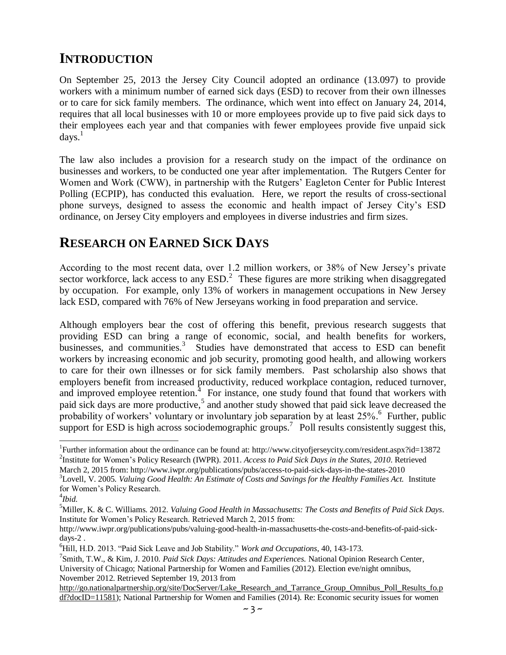# **INTRODUCTION**

On September 25, 2013 the Jersey City Council adopted an ordinance (13.097) to provide workers with a minimum number of earned sick days (ESD) to recover from their own illnesses or to care for sick family members. The ordinance, which went into effect on January 24, 2014, requires that all local businesses with 10 or more employees provide up to five paid sick days to their employees each year and that companies with fewer employees provide five unpaid sick  $days.<sup>1</sup>$ 

The law also includes a provision for a research study on the impact of the ordinance on businesses and workers, to be conducted one year after implementation. The Rutgers Center for Women and Work (CWW), in partnership with the Rutgers' Eagleton Center for Public Interest Polling (ECPIP), has conducted this evaluation. Here, we report the results of cross-sectional phone surveys, designed to assess the economic and health impact of Jersey City's ESD ordinance, on Jersey City employers and employees in diverse industries and firm sizes.

## **RESEARCH ON EARNED SICK DAYS**

According to the most recent data, over 1.2 million workers, or 38% of New Jersey's private sector workforce, lack access to any  $ESD<sup>2</sup>$ . These figures are more striking when disaggregated by occupation. For example, only 13% of workers in management occupations in New Jersey lack ESD, compared with 76% of New Jerseyans working in food preparation and service.

Although employers bear the cost of offering this benefit, previous research suggests that providing ESD can bring a range of economic, social, and health benefits for workers, businesses, and communities.<sup>3</sup> Studies have demonstrated that access to ESD can benefit workers by increasing economic and job security, promoting good health, and allowing workers to care for their own illnesses or for sick family members. Past scholarship also shows that employers benefit from increased productivity, reduced workplace contagion, reduced turnover, and improved employee retention.<sup>4</sup> For instance, one study found that found that workers with paid sick days are more productive, 5 and another study showed that paid sick leave decreased the probability of workers' voluntary or involuntary job separation by at least 25%.<sup>6</sup> Further, public support for ESD is high across sociodemographic groups.<sup>7</sup> Poll results consistently suggest this,

March 2, 2015 from: http://www.iwpr.org/publications/pubs/access-to-paid-sick-days-in-the-states-2010

 $\overline{a}$ 

<sup>1</sup> Further information about the ordinance can be found at: http://www.cityofjerseycity.com/resident.aspx?id=13872 2 Institute for Women's Policy Research (IWPR). 2011. *Access to Paid Sick Days in the States, 2010*. Retrieved

<sup>3</sup>Lovell, V. 2005. *Valuing Good Health: An Estimate of Costs and Savings for the Healthy Families Act.* Institute for Women's Policy Research.

<sup>4</sup> *Ibid.*

<sup>5</sup>Miller, K. & C. Williams. 2012. *Valuing Good Health in Massachusetts: The Costs and Benefits of Paid Sick Days*. Institute for Women's Policy Research. Retrieved March 2, 2015 from:

http://www.iwpr.org/publications/pubs/valuing-good-health-in-massachusetts-the-costs-and-benefits-of-paid-sickdays-2 .

<sup>6</sup>Hill, H.D. 2013. "Paid Sick Leave and Job Stability." *Work and Occupations*, 40, 143-173.

<sup>7</sup> Smith, T.W., & Kim, J. 2010. *Paid Sick Days: Attitudes and Experiences.* National Opinion Research Center, University of Chicago; National Partnership for Women and Families (2012). Election eve/night omnibus, November 2012. Retrieved September 19, 2013 from

[http://go.nationalpartnership.org/site/DocServer/Lake\\_Research\\_and\\_Tarrance\\_Group\\_Omnibus\\_Poll\\_Results\\_fo.p](http://go.nationalpartnership.org/site/DocServer/Lake_Research_and_Tarrance_Group_Omnibus_Poll_Results_fo.pdf?docID=11581) [df?docID=11581\)](http://go.nationalpartnership.org/site/DocServer/Lake_Research_and_Tarrance_Group_Omnibus_Poll_Results_fo.pdf?docID=11581); National Partnership for Women and Families (2014). Re: Economic security issues for women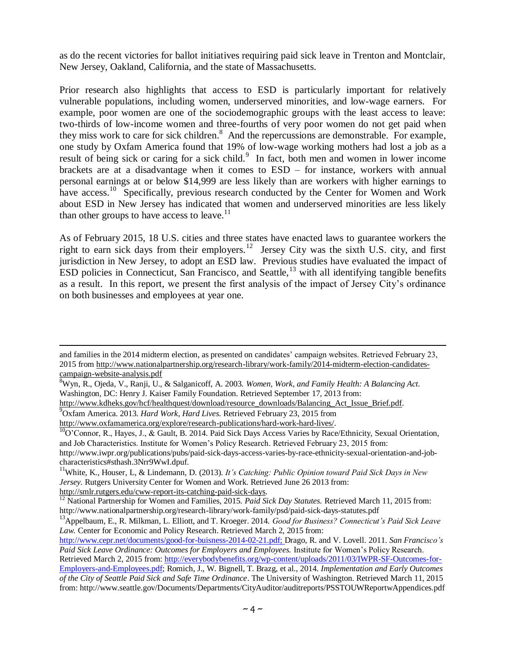as do the recent victories for ballot initiatives requiring paid sick leave in Trenton and Montclair, New Jersey, Oakland, California, and the state of Massachusetts.

Prior research also highlights that access to ESD is particularly important for relatively vulnerable populations, including women, underserved minorities, and low-wage earners. For example, poor women are one of the sociodemographic groups with the least access to leave: two-thirds of low-income women and three-fourths of very poor women do not get paid when they miss work to care for sick children. 8 And the repercussions are demonstrable. For example, one study by Oxfam America found that 19% of low-wage working mothers had lost a job as a result of being sick or caring for a sick child.<sup>9</sup> In fact, both men and women in lower income brackets are at a disadvantage when it comes to ESD – for instance, workers with annual personal earnings at or below \$14,999 are less likely than are workers with higher earnings to have access.<sup>10</sup> Specifically, previous research conducted by the Center for Women and Work about ESD in New Jersey has indicated that women and underserved minorities are less likely than other groups to have access to leave.<sup>11</sup>

As of February 2015, 18 U.S. cities and three states have enacted laws to guarantee workers the right to earn sick days from their employers.<sup>12</sup> Jersey City was the sixth U.S. city, and first jurisdiction in New Jersey, to adopt an ESD law. Previous studies have evaluated the impact of  $ESD$  policies in Connecticut, San Francisco, and Seattle,  $13$  with all identifying tangible benefits as a result. In this report, we present the first analysis of the impact of Jersey City's ordinance on both businesses and employees at year one.

[http://smlr.rutgers.edu/cww-report-its-catching-paid-sick-days.](http://smlr.rutgers.edu/cww-report-its-catching-paid-sick-days)

 $\overline{\phantom{a}}$ 

and families in the 2014 midterm election, as presented on candidates' campaign websites. Retrieved February 23, 2015 from [http://www.nationalpartnership.org/research-library/work-family/2014-midterm-election-candidates](http://www.nationalpartnership.org/research-library/work-family/2014-midterm-election-candidates-campaign-website-analysis.pdf)[campaign-website-analysis.pdf](http://www.nationalpartnership.org/research-library/work-family/2014-midterm-election-candidates-campaign-website-analysis.pdf)

<sup>8</sup>Wyn, R., Ojeda, V., Ranji, U., & Salganicoff, A. 2003. *Women, Work, and Family Health: A Balancing Act.* Washington, DC: Henry J. Kaiser Family Foundation. Retrieved September 17, 2013 from:

[http://www.kdheks.gov/hcf/healthquest/download/resource\\_downloads/Balancing\\_Act\\_Issue\\_Brief.pdf.](http://www.kdheks.gov/hcf/healthquest/download/resource_downloads/Balancing_Act_Issue_Brief.pdf) <sup>9</sup>Oxfam America. 2013. *Hard Work, Hard Lives.* Retrieved February 23, 2015 from

[http://www.oxfamamerica.org/explore/research-publications/hard-work-hard-lives/.](http://www.oxfamamerica.org/explore/research-publications/hard-work-hard-lives/)

 $^{10}$ O'Connor, R., Hayes, J., & Gault, B. 2014. Paid Sick Days Access Varies by Race/Ethnicity, Sexual Orientation, and Job Characteristics. Institute for Women's Policy Research. Retrieved February 23, 2015 from:

http://www.iwpr.org/publications/pubs/paid-sick-days-access-varies-by-race-ethnicity-sexual-orientation-and-jobcharacteristics#sthash.3Nrr9WwI.dpuf.

<sup>&</sup>lt;sup>11</sup>White, K., Houser, L., & Lindemann, D. (2013). *It's Catching: Public Opinion toward Paid Sick Days in New Jersey.* Rutgers University Center for Women and Work. Retrieved June 26 2013 from:

<sup>&</sup>lt;sup>12</sup> National Partnership for Women and Families, 2015. *Paid Sick Day Statutes*. Retrieved March 11, 2015 from: http://www.nationalpartnership.org/research-library/work-family/psd/paid-sick-days-statutes.pdf

<sup>13</sup>Appelbaum, E., R. Milkman, L. Elliott, and T. Kroeger. 2014. *Good for Business? Connecticut's Paid Sick Leave Law.* Center for Economic and Policy Research. Retrieved March 2, 2015 from:

[http://www.cepr.net/documents/good-for-buisness-2014-02-21.pdf;](http://www.cepr.net/documents/good-for-buisness-2014-02-21.pdf) Drago, R. and V. Lovell. 2011. *San Francisco's Paid Sick Leave Ordinance: Outcomes for Employers and Employees.* Institute for Women's Policy Research.

Retrieved March 2, 2015 from: [http://everybodybenefits.org/wp-content/uploads/2011/03/IWPR-SF-Outcomes-for-](http://everybodybenefits.org/wp-content/uploads/2011/03/IWPR-SF-Outcomes-for-Employers-and-Employees.pdf)[Employers-and-Employees.pdf;](http://everybodybenefits.org/wp-content/uploads/2011/03/IWPR-SF-Outcomes-for-Employers-and-Employees.pdf) Romich, J., W. Bignell, T. Brazg, et al., 2014. *Implementation and Early Outcomes of the City of Seattle Paid Sick and Safe Time Ordinance*. The University of Washington. Retrieved March 11, 2015 from: http://www.seattle.gov/Documents/Departments/CityAuditor/auditreports/PSSTOUWReportwAppendices.pdf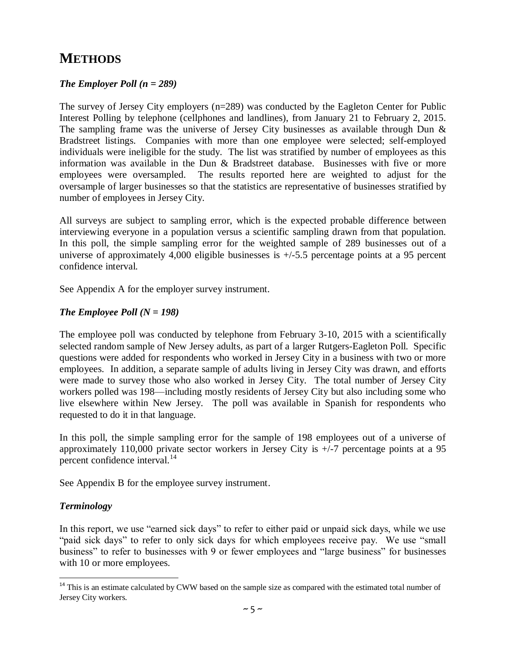### **METHODS**

#### *The Employer Poll (n = 289)*

The survey of Jersey City employers (n=289) was conducted by the Eagleton Center for Public Interest Polling by telephone (cellphones and landlines), from January 21 to February 2, 2015. The sampling frame was the universe of Jersey City businesses as available through Dun & Bradstreet listings. Companies with more than one employee were selected; self-employed individuals were ineligible for the study. The list was stratified by number of employees as this information was available in the Dun & Bradstreet database. Businesses with five or more employees were oversampled. The results reported here are weighted to adjust for the oversample of larger businesses so that the statistics are representative of businesses stratified by number of employees in Jersey City.

All surveys are subject to sampling error, which is the expected probable difference between interviewing everyone in a population versus a scientific sampling drawn from that population. In this poll, the simple sampling error for the weighted sample of 289 businesses out of a universe of approximately 4,000 eligible businesses is  $+/5.5$  percentage points at a 95 percent confidence interval.

See Appendix A for the employer survey instrument.

#### *The Employee Poll*  $(N = 198)$

The employee poll was conducted by telephone from February 3-10, 2015 with a scientifically selected random sample of New Jersey adults, as part of a larger Rutgers-Eagleton Poll. Specific questions were added for respondents who worked in Jersey City in a business with two or more employees. In addition, a separate sample of adults living in Jersey City was drawn, and efforts were made to survey those who also worked in Jersey City. The total number of Jersey City workers polled was 198—including mostly residents of Jersey City but also including some who live elsewhere within New Jersey. The poll was available in Spanish for respondents who requested to do it in that language.

In this poll, the simple sampling error for the sample of 198 employees out of a universe of approximately 110,000 private sector workers in Jersey City is  $+/-7$  percentage points at a 95 percent confidence interval.<sup>14</sup>

See Appendix B for the employee survey instrument.

#### *Terminology*

 $\overline{a}$ 

In this report, we use "earned sick days" to refer to either paid or unpaid sick days, while we use "paid sick days" to refer to only sick days for which employees receive pay. We use "small business" to refer to businesses with 9 or fewer employees and "large business" for businesses with 10 or more employees.

<sup>&</sup>lt;sup>14</sup> This is an estimate calculated by CWW based on the sample size as compared with the estimated total number of Jersey City workers.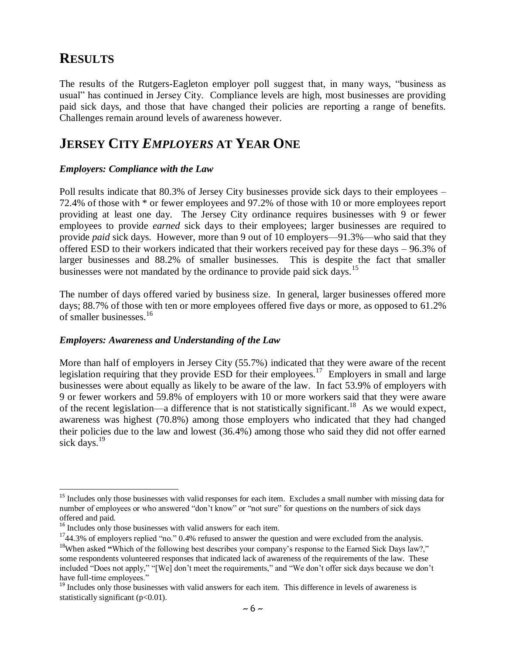### **RESULTS**

 $\overline{\phantom{a}}$ 

The results of the Rutgers-Eagleton employer poll suggest that, in many ways, "business as usual" has continued in Jersey City. Compliance levels are high, most businesses are providing paid sick days, and those that have changed their policies are reporting a range of benefits. Challenges remain around levels of awareness however.

### **JERSEY CITY** *EMPLOYERS* **AT YEAR ONE**

#### *Employers: Compliance with the Law*

Poll results indicate that 80.3% of Jersey City businesses provide sick days to their employees – 72.4% of those with \* or fewer employees and 97.2% of those with 10 or more employees report providing at least one day. The Jersey City ordinance requires businesses with 9 or fewer employees to provide *earned* sick days to their employees; larger businesses are required to provide *paid* sick days. However, more than 9 out of 10 employers—91.3%—who said that they offered ESD to their workers indicated that their workers received pay for these days – 96.3% of larger businesses and 88.2% of smaller businesses. This is despite the fact that smaller businesses were not mandated by the ordinance to provide paid sick days.<sup>15</sup>

The number of days offered varied by business size. In general, larger businesses offered more days; 88.7% of those with ten or more employees offered five days or more, as opposed to 61.2% of smaller businesses.<sup>16</sup>

#### *Employers: Awareness and Understanding of the Law*

More than half of employers in Jersey City (55.7%) indicated that they were aware of the recent legislation requiring that they provide ESD for their employees.<sup>17</sup> Employers in small and large businesses were about equally as likely to be aware of the law. In fact 53.9% of employers with 9 or fewer workers and 59.8% of employers with 10 or more workers said that they were aware of the recent legislation—a difference that is not statistically significant.<sup>18</sup> As we would expect, awareness was highest (70.8%) among those employers who indicated that they had changed their policies due to the law and lowest (36.4%) among those who said they did not offer earned sick days. 19

<sup>&</sup>lt;sup>15</sup> Includes only those businesses with valid responses for each item. Excludes a small number with missing data for number of employees or who answered "don't know" or "not sure" for questions on the numbers of sick days offered and paid.

<sup>&</sup>lt;sup>16</sup> Includes only those businesses with valid answers for each item.

 $1744.3\%$  of employers replied "no." 0.4% refused to answer the question and were excluded from the analysis.

<sup>&</sup>lt;sup>18</sup>When asked "Which of the following best describes your company's response to the Earned Sick Days law?," some respondents volunteered responses that indicated lack of awareness of the requirements of the law. These included "Does not apply," "[We] don't meet the requirements," and "We don't offer sick days because we don't have full-time employees."

<sup>&</sup>lt;sup>19</sup> Includes only those businesses with valid answers for each item. This difference in levels of awareness is statistically significant  $(p<0.01)$ .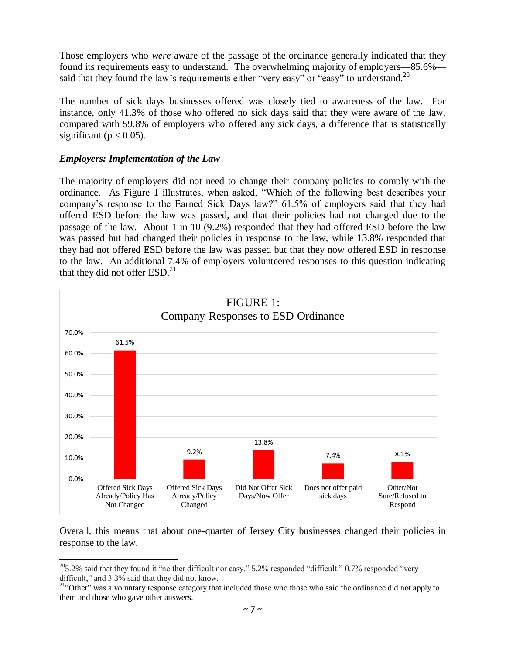Those employers who *were* aware of the passage of the ordinance generally indicated that they found its requirements easy to understand. The overwhelming majority of employers—85.6% said that they found the law's requirements either "very easy" or "easy" to understand.<sup>20</sup>

The number of sick days businesses offered was closely tied to awareness of the law. For instance, only 41.3% of those who offered no sick days said that they were aware of the law, compared with 59.8% of employers who offered any sick days, a difference that is statistically significant ( $p < 0.05$ ).

#### *Employers: Implementation of the Law*

 $\overline{\phantom{a}}$ 

The majority of employers did not need to change their company policies to comply with the ordinance. As Figure 1 illustrates, when asked, "Which of the following best describes your company's response to the Earned Sick Days law?" 61.5% of employers said that they had offered ESD before the law was passed, and that their policies had not changed due to the passage of the law. About 1 in 10 (9.2%) responded that they had offered ESD before the law was passed but had changed their policies in response to the law, while 13.8% responded that they had not offered ESD before the law was passed but that they now offered ESD in response to the law. An additional 7.4% of employers volunteered responses to this question indicating that they did not offer  $ESD<sup>21</sup>$ 



Overall, this means that about one-quarter of Jersey City businesses changed their policies in response to the law.

 $205.2\%$  said that they found it "neither difficult nor easy," 5.2% responded "difficult," 0.7% responded "very difficult," and 3.3% said that they did not know.

<sup>&</sup>lt;sup>21"</sup>Other" was a voluntary response category that included those who those who said the ordinance did not apply to them and those who gave other answers.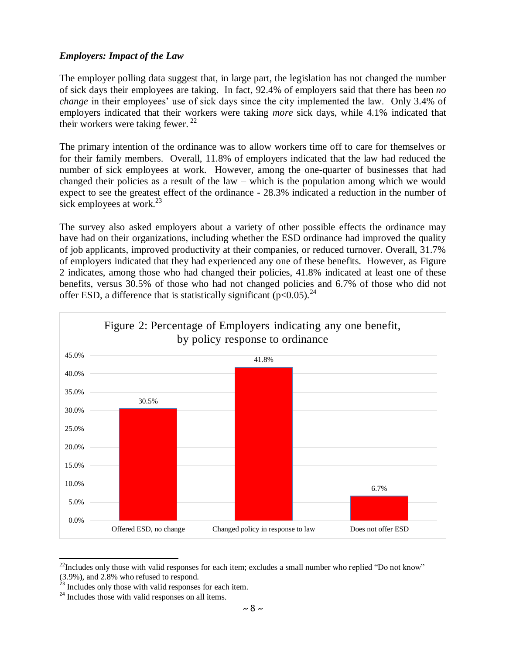#### *Employers: Impact of the Law*

The employer polling data suggest that, in large part, the legislation has not changed the number of sick days their employees are taking. In fact, 92.4% of employers said that there has been *no change* in their employees' use of sick days since the city implemented the law. Only 3.4% of employers indicated that their workers were taking *more* sick days, while 4.1% indicated that their workers were taking fewer. <sup>22</sup>

The primary intention of the ordinance was to allow workers time off to care for themselves or for their family members. Overall, 11.8% of employers indicated that the law had reduced the number of sick employees at work. However, among the one-quarter of businesses that had changed their policies as a result of the law – which is the population among which we would expect to see the greatest effect of the ordinance - 28.3% indicated a reduction in the number of sick employees at work.<sup>23</sup>

The survey also asked employers about a variety of other possible effects the ordinance may have had on their organizations, including whether the ESD ordinance had improved the quality of job applicants, improved productivity at their companies, or reduced turnover. Overall, 31.7% of employers indicated that they had experienced any one of these benefits. However, as Figure 2 indicates, among those who had changed their policies, 41.8% indicated at least one of these benefits, versus 30.5% of those who had not changed policies and 6.7% of those who did not offer ESD, a difference that is statistically significant ( $p<0.05$ ).<sup>24</sup>



 $\overline{\phantom{a}}$  $^{22}$ Includes only those with valid responses for each item; excludes a small number who replied "Do not know" (3.9%), and 2.8% who refused to respond.

<sup>&</sup>lt;sup>23</sup> Includes only those with valid responses for each item.

<sup>&</sup>lt;sup>24</sup> Includes those with valid responses on all items.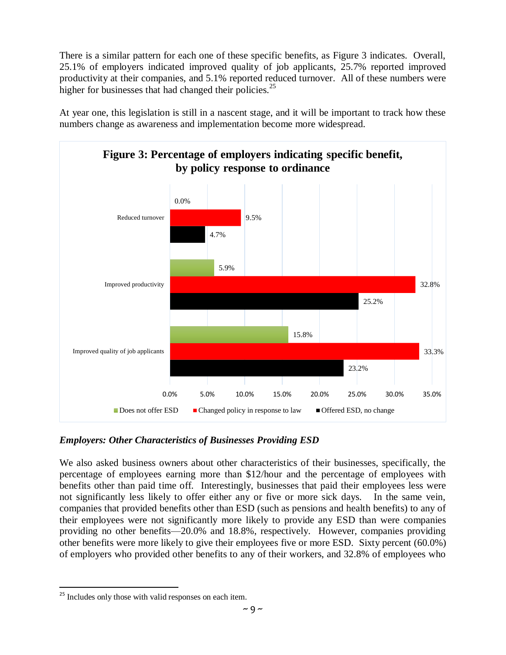There is a similar pattern for each one of these specific benefits, as Figure 3 indicates. Overall, 25.1% of employers indicated improved quality of job applicants, 25.7% reported improved productivity at their companies, and 5.1% reported reduced turnover. All of these numbers were higher for businesses that had changed their policies.<sup>25</sup>





#### *Employers: Other Characteristics of Businesses Providing ESD*

We also asked business owners about other characteristics of their businesses, specifically, the percentage of employees earning more than \$12/hour and the percentage of employees with benefits other than paid time off. Interestingly, businesses that paid their employees less were not significantly less likely to offer either any or five or more sick days. In the same vein, companies that provided benefits other than ESD (such as pensions and health benefits) to any of their employees were not significantly more likely to provide any ESD than were companies providing no other benefits—20.0% and 18.8%, respectively. However, companies providing other benefits were more likely to give their employees five or more ESD. Sixty percent (60.0%) of employers who provided other benefits to any of their workers, and 32.8% of employees who

 $\overline{a}$ 

<sup>&</sup>lt;sup>25</sup> Includes only those with valid responses on each item.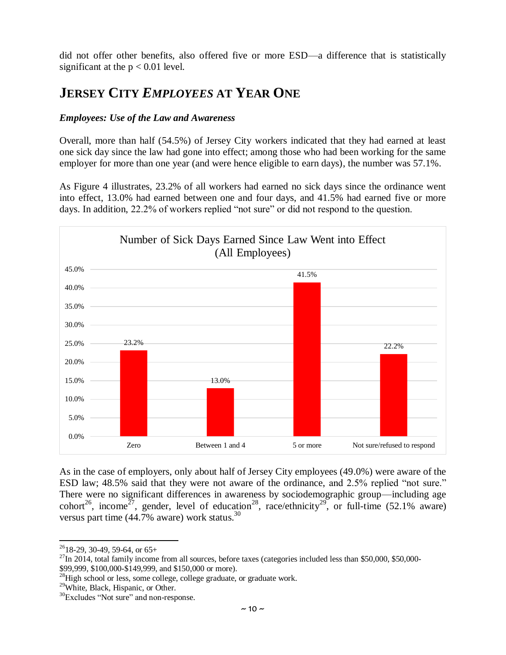did not offer other benefits, also offered five or more ESD—a difference that is statistically significant at the  $p < 0.01$  level.

### **JERSEY CITY** *EMPLOYEES* **AT YEAR ONE**

#### *Employees: Use of the Law and Awareness*

Overall, more than half (54.5%) of Jersey City workers indicated that they had earned at least one sick day since the law had gone into effect; among those who had been working for the same employer for more than one year (and were hence eligible to earn days), the number was 57.1%.

As Figure 4 illustrates, 23.2% of all workers had earned no sick days since the ordinance went into effect, 13.0% had earned between one and four days, and 41.5% had earned five or more days. In addition, 22.2% of workers replied "not sure" or did not respond to the question.



As in the case of employers, only about half of Jersey City employees (49.0%) were aware of the ESD law; 48.5% said that they were not aware of the ordinance, and 2.5% replied "not sure." There were no significant differences in awareness by sociodemographic group—including age cohort<sup>26</sup>, income<sup>27</sup>, gender, level of education<sup>28</sup>, race/ethnicity<sup>29</sup>, or full-time (52.1% aware) versus part time  $(44.7\%$  aware) work status.<sup>30</sup>

 $\overline{a}$ 

<sup>29</sup>White, Black, Hispanic, or Other.

 $2618-29$ , 30-49, 59-64, or 65+

 $^{27}$ In 2014, total family income from all sources, before taxes (categories included less than \$50,000, \$50,000-\$99,999, \$100,000-\$149,999, and \$150,000 or more).

<sup>&</sup>lt;sup>28</sup>High school or less, some college, college graduate, or graduate work.

<sup>&</sup>lt;sup>30</sup>Excludes "Not sure" and non-response.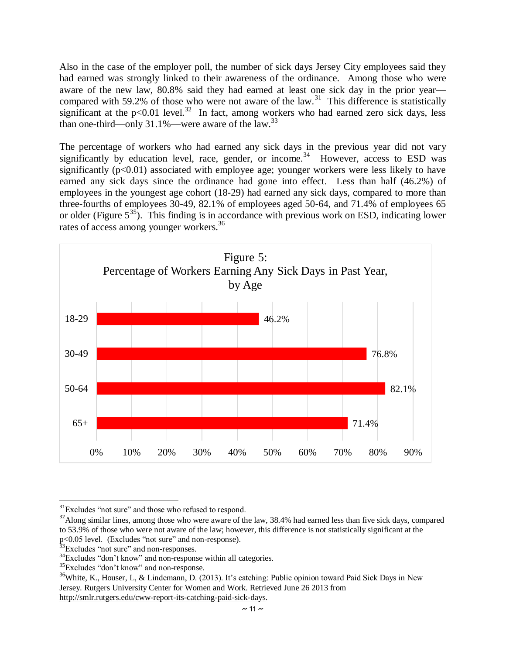Also in the case of the employer poll, the number of sick days Jersey City employees said they had earned was strongly linked to their awareness of the ordinance. Among those who were aware of the new law, 80.8% said they had earned at least one sick day in the prior year compared with 59.2% of those who were not aware of the law.<sup>31</sup> This difference is statistically significant at the  $p<0.01$  level.<sup>32</sup> In fact, among workers who had earned zero sick days, less than one-third—only 31.1%—were aware of the law.<sup>33</sup>

The percentage of workers who had earned any sick days in the previous year did not vary significantly by education level, race, gender, or income.<sup>34</sup> However, access to ESD was significantly  $(p<0.01)$  associated with employee age; younger workers were less likely to have earned any sick days since the ordinance had gone into effect. Less than half (46.2%) of employees in the youngest age cohort (18-29) had earned any sick days, compared to more than three-fourths of employees 30-49, 82.1% of employees aged 50-64, and 71.4% of employees 65 or older (Figure  $5^{35}$ ). This finding is in accordance with previous work on ESD, indicating lower rates of access among younger workers.<sup>36</sup>



 $\overline{a}$ <sup>31</sup>Excludes "not sure" and those who refused to respond.

<sup>&</sup>lt;sup>32</sup>Along similar lines, among those who were aware of the law, 38.4% had earned less than five sick days, compared to 53.9% of those who were not aware of the law; however, this difference is not statistically significant at the p<0.05 level. (Excludes "not sure" and non-response).

<sup>&</sup>lt;sup>33</sup>Excludes "not sure" and non-responses.

<sup>&</sup>lt;sup>34</sup>Excludes "don't know" and non-response within all categories.

<sup>&</sup>lt;sup>35</sup>Excludes "don't know" and non-response.

<sup>&</sup>lt;sup>36</sup>White, K., Houser, L, & Lindemann, D. (2013). It's catching: Public opinion toward Paid Sick Days in New Jersey. Rutgers University Center for Women and Work. Retrieved June 26 2013 from [http://smlr.rutgers.edu/cww-report-its-catching-paid-sick-days.](http://smlr.rutgers.edu/cww-report-its-catching-paid-sick-days)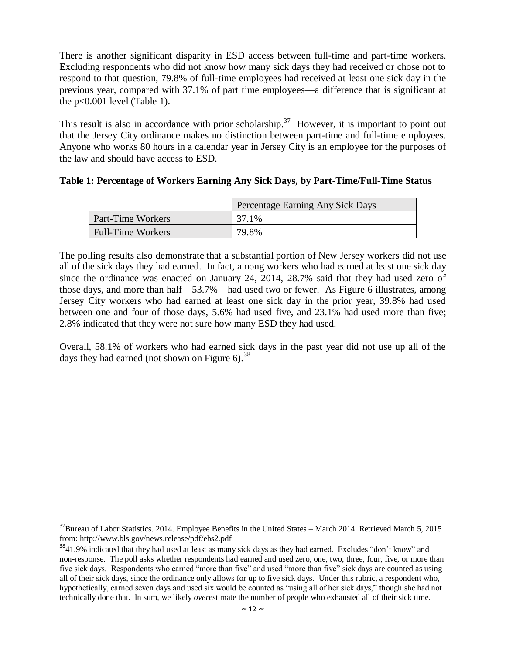There is another significant disparity in ESD access between full-time and part-time workers. Excluding respondents who did not know how many sick days they had received or chose not to respond to that question, 79.8% of full-time employees had received at least one sick day in the previous year, compared with 37.1% of part time employees—a difference that is significant at the  $p<0.001$  level (Table 1).

This result is also in accordance with prior scholarship.<sup>37</sup> However, it is important to point out that the Jersey City ordinance makes no distinction between part-time and full-time employees. Anyone who works 80 hours in a calendar year in Jersey City is an employee for the purposes of the law and should have access to ESD.

| Table 1: Percentage of Workers Earning Any Sick Days, by Part-Time/Full-Time Status |  |  |
|-------------------------------------------------------------------------------------|--|--|
|                                                                                     |  |  |

|                          | Percentage Earning Any Sick Days |
|--------------------------|----------------------------------|
| <b>Part-Time Workers</b> | 37.1%                            |
| <b>Full-Time Workers</b> | 79.8%                            |

The polling results also demonstrate that a substantial portion of New Jersey workers did not use all of the sick days they had earned. In fact, among workers who had earned at least one sick day since the ordinance was enacted on January 24, 2014, 28.7% said that they had used zero of those days, and more than half—53.7%—had used two or fewer. As Figure 6 illustrates, among Jersey City workers who had earned at least one sick day in the prior year, 39.8% had used between one and four of those days, 5.6% had used five, and 23.1% had used more than five; 2.8% indicated that they were not sure how many ESD they had used.

Overall, 58.1% of workers who had earned sick days in the past year did not use up all of the days they had earned (not shown on Figure 6).<sup>38</sup>

 $\overline{a}$ 

 $37$ Bureau of Labor Statistics. 2014. Employee Benefits in the United States – March 2014. Retrieved March 5, 2015 from: http://www.bls.gov/news.release/pdf/ebs2.pdf

 $3841.9\%$  indicated that they had used at least as many sick days as they had earned. Excludes "don't know" and non-response. The poll asks whether respondents had earned and used zero, one, two, three, four, five, or more than five sick days. Respondents who earned "more than five" and used "more than five" sick days are counted as using all of their sick days, since the ordinance only allows for up to five sick days. Under this rubric, a respondent who, hypothetically, earned seven days and used six would be counted as "using all of her sick days," though she had not technically done that. In sum, we likely *over*estimate the number of people who exhausted all of their sick time.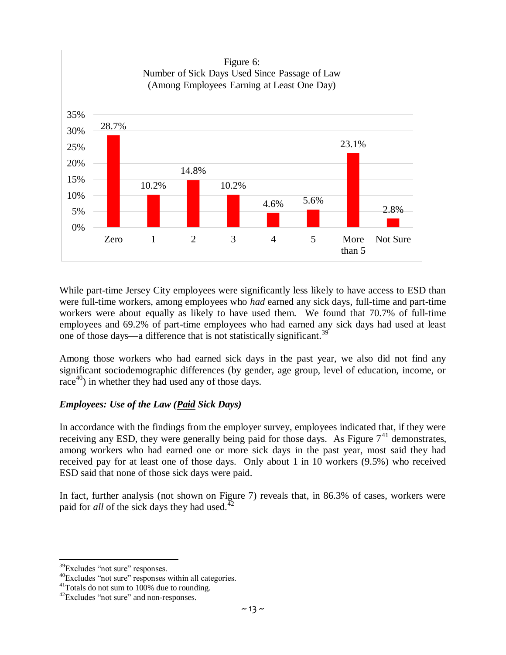

While part-time Jersey City employees were significantly less likely to have access to ESD than were full-time workers, among employees who *had* earned any sick days, full-time and part-time workers were about equally as likely to have used them. We found that 70.7% of full-time employees and 69.2% of part-time employees who had earned any sick days had used at least one of those days—a difference that is not statistically significant.<sup>39</sup>

Among those workers who had earned sick days in the past year, we also did not find any significant sociodemographic differences (by gender, age group, level of education, income, or race<sup>40</sup>) in whether they had used any of those days.

#### *Employees: Use of the Law (Paid Sick Days)*

In accordance with the findings from the employer survey, employees indicated that, if they were receiving any ESD, they were generally being paid for those days. As Figure  $7<sup>41</sup>$  demonstrates, among workers who had earned one or more sick days in the past year, most said they had received pay for at least one of those days. Only about 1 in 10 workers (9.5%) who received ESD said that none of those sick days were paid.

In fact, further analysis (not shown on Figure 7) reveals that, in 86.3% of cases, workers were paid for *all* of the sick days they had used.<sup>42</sup>

 $\overline{\phantom{a}}$ 

<sup>&</sup>lt;sup>39</sup>Excludes "not sure" responses.

<sup>40</sup>Excludes "not sure" responses within all categories.

<sup>&</sup>lt;sup>41</sup>Totals do not sum to 100% due to rounding.

<sup>&</sup>lt;sup>42</sup>Excludes "not sure" and non-responses.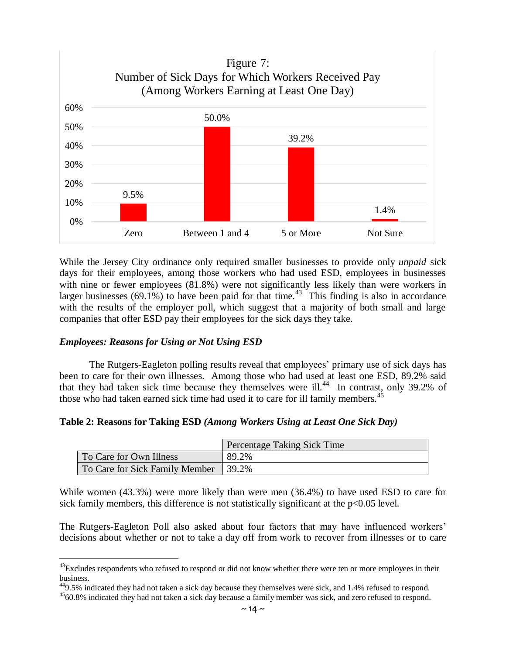

While the Jersey City ordinance only required smaller businesses to provide only *unpaid* sick days for their employees, among those workers who had used ESD, employees in businesses with nine or fewer employees (81.8%) were not significantly less likely than were workers in larger businesses  $(69.1\%)$  to have been paid for that time.<sup>43</sup> This finding is also in accordance with the results of the employer poll, which suggest that a majority of both small and large companies that offer ESD pay their employees for the sick days they take.

#### *Employees: Reasons for Using or Not Using ESD*

 $\overline{a}$ 

The Rutgers-Eagleton polling results reveal that employees' primary use of sick days has been to care for their own illnesses. Among those who had used at least one ESD, 89.2% said that they had taken sick time because they themselves were ill.<sup>44</sup> In contrast, only 39.2% of those who had taken earned sick time had used it to care for ill family members.<sup>45</sup>

#### **Table 2: Reasons for Taking ESD** *(Among Workers Using at Least One Sick Day)*

|                                      | Percentage Taking Sick Time |
|--------------------------------------|-----------------------------|
| To Care for Own Illness              | 89.2%                       |
| To Care for Sick Family Member 39.2% |                             |

While women (43.3%) were more likely than were men (36.4%) to have used ESD to care for sick family members, this difference is not statistically significant at the  $p<0.05$  level.

The Rutgers-Eagleton Poll also asked about four factors that may have influenced workers' decisions about whether or not to take a day off from work to recover from illnesses or to care

<sup>&</sup>lt;sup>43</sup>Excludes respondents who refused to respond or did not know whether there were ten or more employees in their business.

 $^{44}9.5\%$  indicated they had not taken a sick day because they themselves were sick, and 1.4% refused to respond.

<sup>&</sup>lt;sup>45</sup>60.8% indicated they had not taken a sick day because a family member was sick, and zero refused to respond.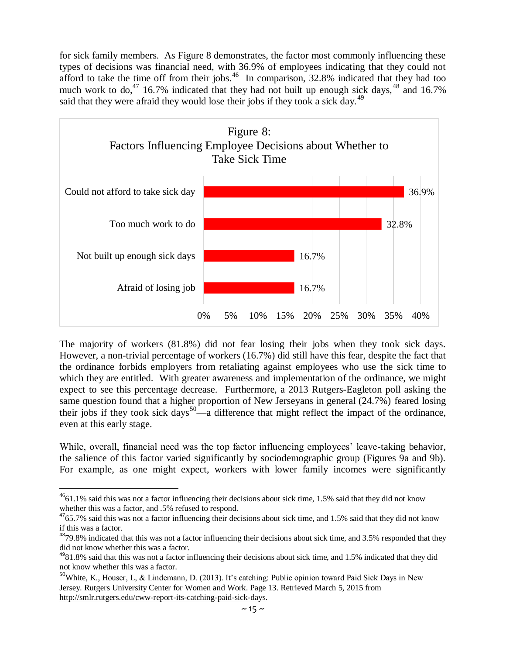for sick family members. As Figure 8 demonstrates, the factor most commonly influencing these types of decisions was financial need, with 36.9% of employees indicating that they could not afford to take the time off from their jobs. $46$  In comparison, 32.8% indicated that they had too much work to do,<sup>47</sup> 16.7% indicated that they had not built up enough sick days, <sup>48</sup> and 16.7% said that they were afraid they would lose their jobs if they took a sick day.<sup>49</sup>



The majority of workers (81.8%) did not fear losing their jobs when they took sick days. However, a non-trivial percentage of workers (16.7%) did still have this fear, despite the fact that the ordinance forbids employers from retaliating against employees who use the sick time to which they are entitled. With greater awareness and implementation of the ordinance, we might expect to see this percentage decrease. Furthermore, a 2013 Rutgers-Eagleton poll asking the same question found that a higher proportion of New Jerseyans in general (24.7%) feared losing their jobs if they took sick days<sup>50</sup>—a difference that might reflect the impact of the ordinance, even at this early stage.

While, overall, financial need was the top factor influencing employees' leave-taking behavior, the salience of this factor varied significantly by sociodemographic group (Figures 9a and 9b). For example, as one might expect, workers with lower family incomes were significantly

 $\overline{a}$ 

 $^{46}$ 61.1% said this was not a factor influencing their decisions about sick time, 1.5% said that they did not know whether this was a factor, and .5% refused to respond.

 $4765.7\%$  said this was not a factor influencing their decisions about sick time, and 1.5% said that they did not know if this was a factor.

<sup>48</sup>79.8% indicated that this was not a factor influencing their decisions about sick time, and 3.5% responded that they did not know whether this was a factor.

 $4981.8\%$  said that this was not a factor influencing their decisions about sick time, and 1.5% indicated that they did not know whether this was a factor.

<sup>&</sup>lt;sup>50</sup>White, K., Houser, L, & Lindemann, D. (2013). It's catching: Public opinion toward Paid Sick Days in New Jersey. Rutgers University Center for Women and Work. Page 13. Retrieved March 5, 2015 from [http://smlr.rutgers.edu/cww-report-its-catching-paid-sick-days.](http://smlr.rutgers.edu/cww-report-its-catching-paid-sick-days)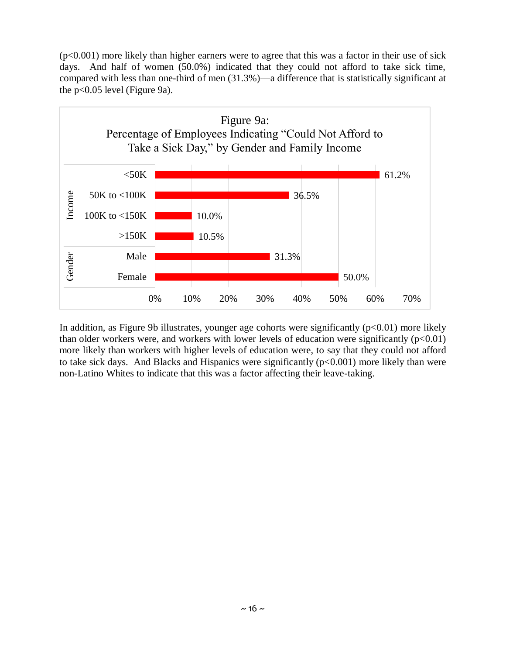(p<0.001) more likely than higher earners were to agree that this was a factor in their use of sick days. And half of women (50.0%) indicated that they could not afford to take sick time, compared with less than one-third of men (31.3%)—a difference that is statistically significant at the  $p<0.05$  level (Figure 9a).



In addition, as Figure 9b illustrates, younger age cohorts were significantly  $(p<0.01)$  more likely than older workers were, and workers with lower levels of education were significantly  $(p<0.01)$ more likely than workers with higher levels of education were, to say that they could not afford to take sick days. And Blacks and Hispanics were significantly  $(p<0.001)$  more likely than were non-Latino Whites to indicate that this was a factor affecting their leave-taking.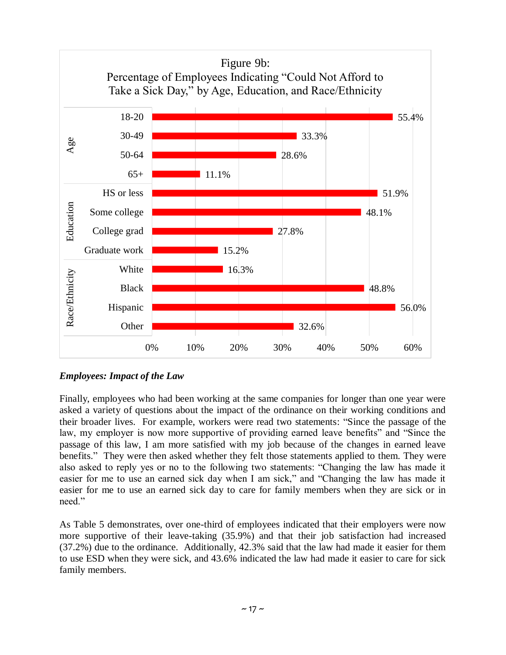

#### *Employees: Impact of the Law*

Finally, employees who had been working at the same companies for longer than one year were asked a variety of questions about the impact of the ordinance on their working conditions and their broader lives. For example, workers were read two statements: "Since the passage of the law, my employer is now more supportive of providing earned leave benefits" and "Since the passage of this law, I am more satisfied with my job because of the changes in earned leave benefits." They were then asked whether they felt those statements applied to them. They were also asked to reply yes or no to the following two statements: "Changing the law has made it easier for me to use an earned sick day when I am sick," and "Changing the law has made it easier for me to use an earned sick day to care for family members when they are sick or in need."

As Table 5 demonstrates, over one-third of employees indicated that their employers were now more supportive of their leave-taking (35.9%) and that their job satisfaction had increased (37.2%) due to the ordinance. Additionally, 42.3% said that the law had made it easier for them to use ESD when they were sick, and 43.6% indicated the law had made it easier to care for sick family members.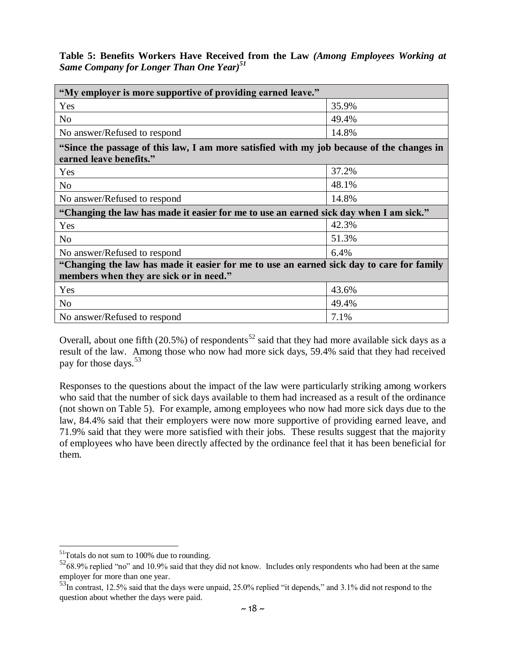|  |                                                      |  |  |  | Table 5: Benefits Workers Have Received from the Law (Among Employees Working at |  |
|--|------------------------------------------------------|--|--|--|----------------------------------------------------------------------------------|--|
|  | Same Company for Longer Than One Year) <sup>51</sup> |  |  |  |                                                                                  |  |

| "My employer is more supportive of providing earned leave."                                                          |       |  |  |  |  |
|----------------------------------------------------------------------------------------------------------------------|-------|--|--|--|--|
| Yes                                                                                                                  | 35.9% |  |  |  |  |
| N <sub>o</sub>                                                                                                       | 49.4% |  |  |  |  |
| No answer/Refused to respond                                                                                         | 14.8% |  |  |  |  |
| "Since the passage of this law, I am more satisfied with my job because of the changes in<br>earned leave benefits." |       |  |  |  |  |
| Yes                                                                                                                  | 37.2% |  |  |  |  |
| N <sub>0</sub>                                                                                                       | 48.1% |  |  |  |  |
| No answer/Refused to respond                                                                                         | 14.8% |  |  |  |  |
| "Changing the law has made it easier for me to use an earned sick day when I am sick."                               |       |  |  |  |  |
| Yes                                                                                                                  | 42.3% |  |  |  |  |
| N <sub>o</sub>                                                                                                       | 51.3% |  |  |  |  |
| No answer/Refused to respond                                                                                         | 6.4%  |  |  |  |  |
| "Changing the law has made it easier for me to use an earned sick day to care for family                             |       |  |  |  |  |
| members when they are sick or in need."                                                                              |       |  |  |  |  |
| Yes                                                                                                                  | 43.6% |  |  |  |  |
| N <sub>o</sub>                                                                                                       | 49.4% |  |  |  |  |
| No answer/Refused to respond                                                                                         | 7.1%  |  |  |  |  |

Overall, about one fifth (20.5%) of respondents<sup>52</sup> said that they had more available sick days as a result of the law. Among those who now had more sick days, 59.4% said that they had received pay for those days.<sup>53</sup>

Responses to the questions about the impact of the law were particularly striking among workers who said that the number of sick days available to them had increased as a result of the ordinance (not shown on Table 5). For example, among employees who now had more sick days due to the law, 84.4% said that their employers were now more supportive of providing earned leave, and 71.9% said that they were more satisfied with their jobs. These results suggest that the majority of employees who have been directly affected by the ordinance feel that it has been beneficial for them.

 $\overline{\phantom{a}}$  $51$ Totals do not sum to 100% due to rounding.

<sup>52</sup>68.9% replied "no" and 10.9% said that they did not know. Includes only respondents who had been at the same employer for more than one year.

<sup>53</sup>In contrast, 12.5% said that the days were unpaid, 25.0% replied "it depends," and 3.1% did not respond to the question about whether the days were paid.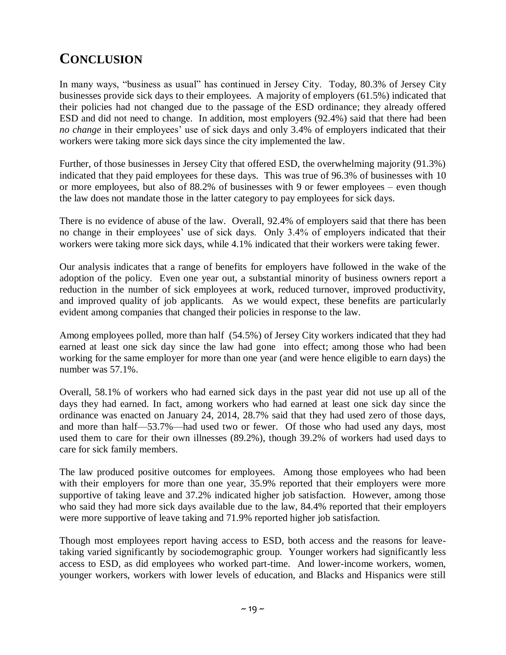# **CONCLUSION**

In many ways, "business as usual" has continued in Jersey City. Today, 80.3% of Jersey City businesses provide sick days to their employees. A majority of employers (61.5%) indicated that their policies had not changed due to the passage of the ESD ordinance; they already offered ESD and did not need to change. In addition, most employers (92.4%) said that there had been *no change* in their employees' use of sick days and only 3.4% of employers indicated that their workers were taking more sick days since the city implemented the law.

Further, of those businesses in Jersey City that offered ESD, the overwhelming majority (91.3%) indicated that they paid employees for these days. This was true of 96.3% of businesses with 10 or more employees, but also of 88.2% of businesses with 9 or fewer employees – even though the law does not mandate those in the latter category to pay employees for sick days.

There is no evidence of abuse of the law. Overall, 92.4% of employers said that there has been no change in their employees' use of sick days. Only 3.4% of employers indicated that their workers were taking more sick days, while 4.1% indicated that their workers were taking fewer.

Our analysis indicates that a range of benefits for employers have followed in the wake of the adoption of the policy. Even one year out, a substantial minority of business owners report a reduction in the number of sick employees at work, reduced turnover, improved productivity, and improved quality of job applicants. As we would expect, these benefits are particularly evident among companies that changed their policies in response to the law.

Among employees polled, more than half (54.5%) of Jersey City workers indicated that they had earned at least one sick day since the law had gone into effect; among those who had been working for the same employer for more than one year (and were hence eligible to earn days) the number was 57.1%.

Overall, 58.1% of workers who had earned sick days in the past year did not use up all of the days they had earned. In fact, among workers who had earned at least one sick day since the ordinance was enacted on January 24, 2014, 28.7% said that they had used zero of those days, and more than half—53.7%—had used two or fewer. Of those who had used any days, most used them to care for their own illnesses (89.2%), though 39.2% of workers had used days to care for sick family members.

The law produced positive outcomes for employees. Among those employees who had been with their employers for more than one year, 35.9% reported that their employers were more supportive of taking leave and 37.2% indicated higher job satisfaction. However, among those who said they had more sick days available due to the law, 84.4% reported that their employers were more supportive of leave taking and 71.9% reported higher job satisfaction.

Though most employees report having access to ESD, both access and the reasons for leavetaking varied significantly by sociodemographic group. Younger workers had significantly less access to ESD, as did employees who worked part-time. And lower-income workers, women, younger workers, workers with lower levels of education, and Blacks and Hispanics were still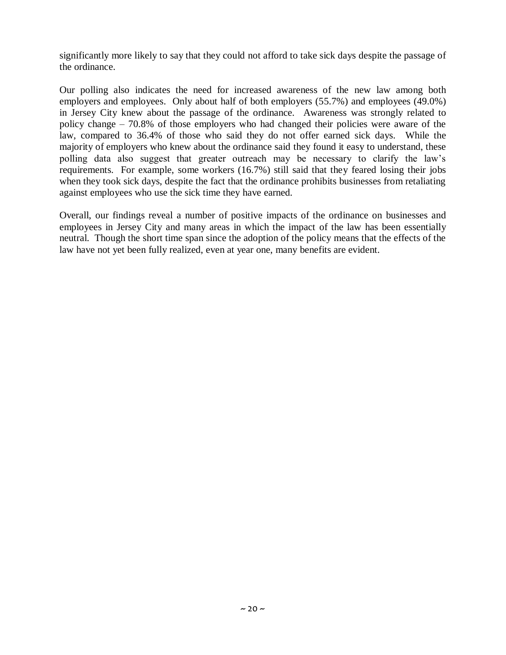significantly more likely to say that they could not afford to take sick days despite the passage of the ordinance.

Our polling also indicates the need for increased awareness of the new law among both employers and employees. Only about half of both employers (55.7%) and employees (49.0%) in Jersey City knew about the passage of the ordinance. Awareness was strongly related to policy change – 70.8% of those employers who had changed their policies were aware of the law, compared to 36.4% of those who said they do not offer earned sick days. While the majority of employers who knew about the ordinance said they found it easy to understand, these polling data also suggest that greater outreach may be necessary to clarify the law's requirements. For example, some workers (16.7%) still said that they feared losing their jobs when they took sick days, despite the fact that the ordinance prohibits businesses from retaliating against employees who use the sick time they have earned.

Overall, our findings reveal a number of positive impacts of the ordinance on businesses and employees in Jersey City and many areas in which the impact of the law has been essentially neutral. Though the short time span since the adoption of the policy means that the effects of the law have not yet been fully realized, even at year one, many benefits are evident.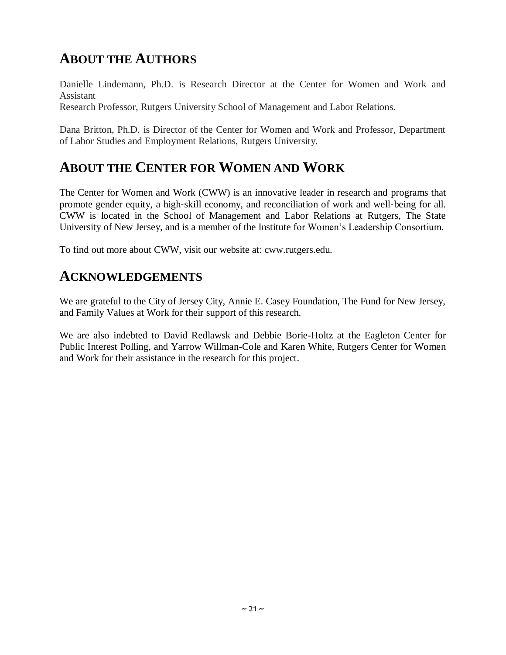# **ABOUT THE AUTHORS**

Danielle Lindemann, Ph.D. is Research Director at the Center for Women and Work and Assistant

Research Professor, Rutgers University School of Management and Labor Relations.

Dana Britton, Ph.D. is Director of the Center for Women and Work and Professor, Department of Labor Studies and Employment Relations, Rutgers University.

### **ABOUT THE CENTER FOR WOMEN AND WORK**

The Center for Women and Work (CWW) is an innovative leader in research and programs that promote gender equity, a high‐skill economy, and reconciliation of work and well‐being for all. CWW is located in the School of Management and Labor Relations at Rutgers, The State University of New Jersey, and is a member of the Institute for Women's Leadership Consortium.

To find out more about CWW, visit our website at: cww.rutgers.edu.

### **ACKNOWLEDGEMENTS**

We are grateful to the City of Jersey City, Annie E. Casey Foundation, The Fund for New Jersey, and Family Values at Work for their support of this research.

We are also indebted to David Redlawsk and Debbie Borie-Holtz at the Eagleton Center for Public Interest Polling, and Yarrow Willman-Cole and Karen White, Rutgers Center for Women and Work for their assistance in the research for this project.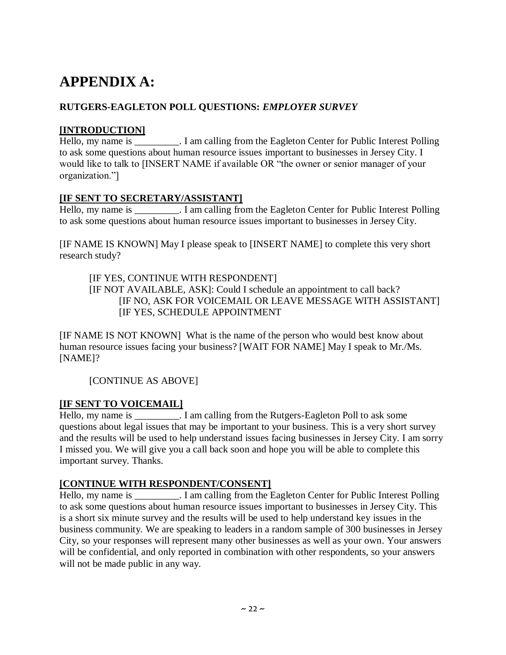# **APPENDIX A:**

#### **RUTGERS-EAGLETON POLL QUESTIONS:** *EMPLOYER SURVEY*

#### **[INTRODUCTION]**

Hello, my name is \_\_\_\_\_\_\_\_\_. I am calling from the Eagleton Center for Public Interest Polling to ask some questions about human resource issues important to businesses in Jersey City. I would like to talk to [INSERT NAME if available OR "the owner or senior manager of your organization."]

#### **[IF SENT TO SECRETARY/ASSISTANT]**

Hello, my name is . I am calling from the Eagleton Center for Public Interest Polling to ask some questions about human resource issues important to businesses in Jersey City.

[IF NAME IS KNOWN] May I please speak to [INSERT NAME] to complete this very short research study?

#### [IF YES, CONTINUE WITH RESPONDENT]

[IF NOT AVAILABLE, ASK]: Could I schedule an appointment to call back? [IF NO, ASK FOR VOICEMAIL OR LEAVE MESSAGE WITH ASSISTANT] [IF YES, SCHEDULE APPOINTMENT

[IF NAME IS NOT KNOWN] What is the name of the person who would best know about human resource issues facing your business? [WAIT FOR NAME] May I speak to Mr./Ms. [NAME]?

[CONTINUE AS ABOVE]

#### **[IF SENT TO VOICEMAIL]**

Hello, my name is Tam calling from the Rutgers-Eagleton Poll to ask some questions about legal issues that may be important to your business. This is a very short survey and the results will be used to help understand issues facing businesses in Jersey City. I am sorry I missed you. We will give you a call back soon and hope you will be able to complete this important survey. Thanks.

#### **[CONTINUE WITH RESPONDENT/CONSENT]**

Hello, my name is \_\_\_\_\_\_\_\_\_. I am calling from the Eagleton Center for Public Interest Polling to ask some questions about human resource issues important to businesses in Jersey City. This is a short six minute survey and the results will be used to help understand key issues in the business community. We are speaking to leaders in a random sample of 300 businesses in Jersey City, so your responses will represent many other businesses as well as your own. Your answers will be confidential, and only reported in combination with other respondents, so your answers will not be made public in any way.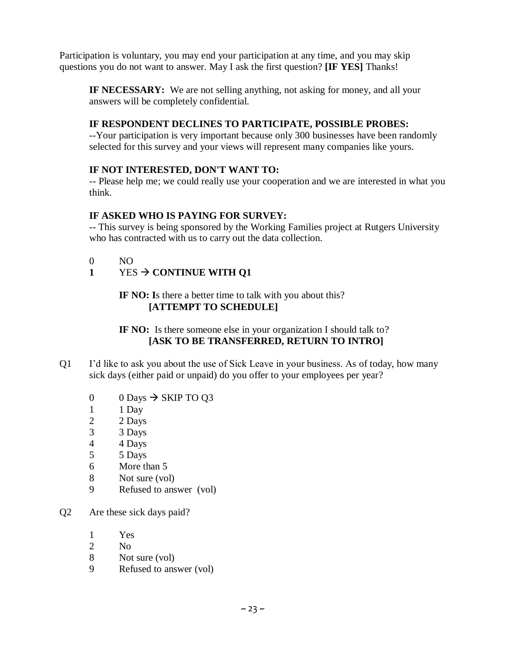Participation is voluntary, you may end your participation at any time, and you may skip questions you do not want to answer. May I ask the first question? **[IF YES]** Thanks!

**IF NECESSARY:** We are not selling anything, not asking for money, and all your answers will be completely confidential.

#### **IF RESPONDENT DECLINES TO PARTICIPATE, POSSIBLE PROBES:**

--Your participation is very important because only 300 businesses have been randomly selected for this survey and your views will represent many companies like yours.

#### **IF NOT INTERESTED, DON'T WANT TO:**

-- Please help me; we could really use your cooperation and we are interested in what you think.

#### **IF ASKED WHO IS PAYING FOR SURVEY:**

-- This survey is being sponsored by the Working Families project at Rutgers University who has contracted with us to carry out the data collection.

0 NO

#### **1** YES  $\rightarrow$  **CONTINUE WITH Q1**

#### **IF NO: I**s there a better time to talk with you about this? **[ATTEMPT TO SCHEDULE]**

#### **IF NO:** Is there someone else in your organization I should talk to? **[ASK TO BE TRANSFERRED, RETURN TO INTRO]**

- Q1 I'd like to ask you about the use of Sick Leave in your business. As of today, how many sick days (either paid or unpaid) do you offer to your employees per year?
	- 0 0 Days  $\rightarrow$  SKIP TO Q3
	- 1 1 Day
	- 2 2 Days
	- 3 3 Days
	- 4 4 Days
	- 5 5 Days
	- 6 More than 5
	- 8 Not sure (vol)
	- 9 Refused to answer (vol)
- Q2 Are these sick days paid?
	- 1 Yes
	- 2 No
	- 8 Not sure (vol)
	- 9 Refused to answer (vol)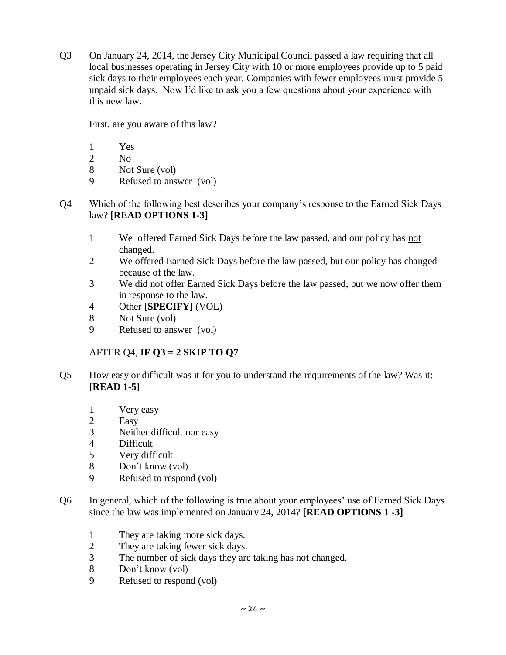Q3 On January 24, 2014, the Jersey City Municipal Council passed a law requiring that all local businesses operating in Jersey City with 10 or more employees provide up to 5 paid sick days to their employees each year. Companies with fewer employees must provide 5 unpaid sick days. Now I'd like to ask you a few questions about your experience with this new law.

First, are you aware of this law?

- 1 Yes
- 2 No
- 8 Not Sure (vol)
- 9 Refused to answer (vol)
- Q4 Which of the following best describes your company's response to the Earned Sick Days law? **[READ OPTIONS 1-3]**
	- 1 We offered Earned Sick Days before the law passed, and our policy has not changed.
	- 2 We offered Earned Sick Days before the law passed, but our policy has changed because of the law.
	- 3 We did not offer Earned Sick Days before the law passed, but we now offer them in response to the law.
	- 4 Other **[SPECIFY]** (VOL)
	- 8 Not Sure (vol)
	- 9 Refused to answer (vol)

#### AFTER Q4, **IF Q3 = 2 SKIP TO Q7**

- Q5 How easy or difficult was it for you to understand the requirements of the law? Was it: **[READ 1-5]**
	- 1 Very easy
	- 2 Easy
	- 3 Neither difficult nor easy
	- 4 Difficult
	- 5 Very difficult
	- 8 Don't know (vol)
	- 9 Refused to respond (vol)
- Q6 In general, which of the following is true about your employees' use of Earned Sick Days since the law was implemented on January 24, 2014? **[READ OPTIONS 1 -3]**
	- 1 They are taking more sick days.
	- 2 They are taking fewer sick days.
	- 3 The number of sick days they are taking has not changed.
	- 8 Don't know (vol)
	- 9 Refused to respond (vol)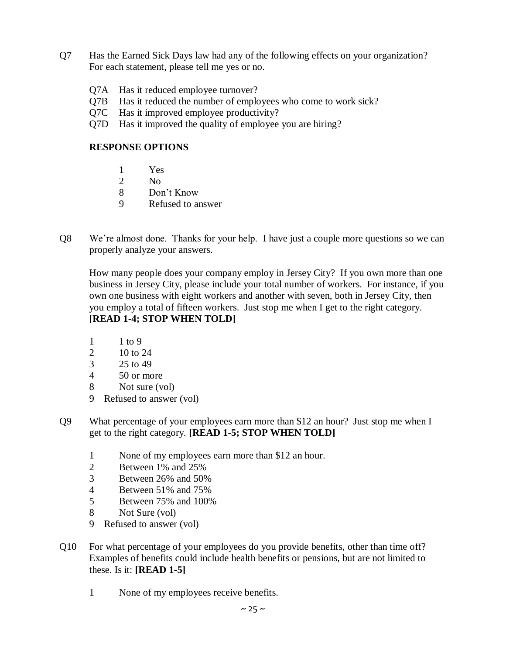- Q7 Has the Earned Sick Days law had any of the following effects on your organization? For each statement, please tell me yes or no.
	- Q7A Has it reduced employee turnover?
	- Q7B Has it reduced the number of employees who come to work sick?
	- Q7C Has it improved employee productivity?
	- Q7D Has it improved the quality of employee you are hiring?

#### **RESPONSE OPTIONS**

- 1 Yes
- 2 No
- 8 Don't Know
- 9 Refused to answer
- Q8 We're almost done. Thanks for your help. I have just a couple more questions so we can properly analyze your answers.

How many people does your company employ in Jersey City? If you own more than one business in Jersey City, please include your total number of workers. For instance, if you own one business with eight workers and another with seven, both in Jersey City, then you employ a total of fifteen workers. Just stop me when I get to the right category. **[READ 1-4; STOP WHEN TOLD]**

- 1 1 to 9
- 2 10 to 24
- 3 25 to 49
- 4 50 or more
- 8 Not sure (vol)
- 9 Refused to answer (vol)
- Q9 What percentage of your employees earn more than \$12 an hour? Just stop me when I get to the right category. **[READ 1-5; STOP WHEN TOLD]**
	- 1 None of my employees earn more than \$12 an hour.
	- 2 Between 1% and 25%
	- 3 Between 26% and 50%
	- 4 Between 51% and 75%
	- 5 Between 75% and 100%
	- 8 Not Sure (vol)
	- 9 Refused to answer (vol)
- Q10 For what percentage of your employees do you provide benefits, other than time off? Examples of benefits could include health benefits or pensions, but are not limited to these. Is it: **[READ 1-5]**
	- 1 None of my employees receive benefits.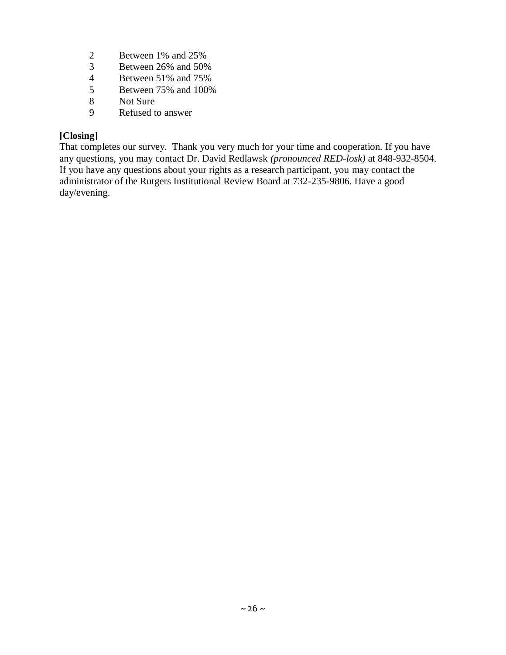- 2 Between 1% and 25%<br>3 Between 26% and 50%
- 3 Between 26% and 50%<br>4 Between 51% and 75%
- 4 Between 51% and 75%<br>5 Between 75% and 100%
- 5 Between 75% and 100%<br>8 Not Sure
- Not Sure
- 9 Refused to answer

#### **[Closing]**

That completes our survey. Thank you very much for your time and cooperation. If you have any questions, you may contact Dr. David Redlawsk *(pronounced RED-losk)* at 848-932-8504. If you have any questions about your rights as a research participant, you may contact the administrator of the Rutgers Institutional Review Board at 732-235-9806. Have a good day/evening.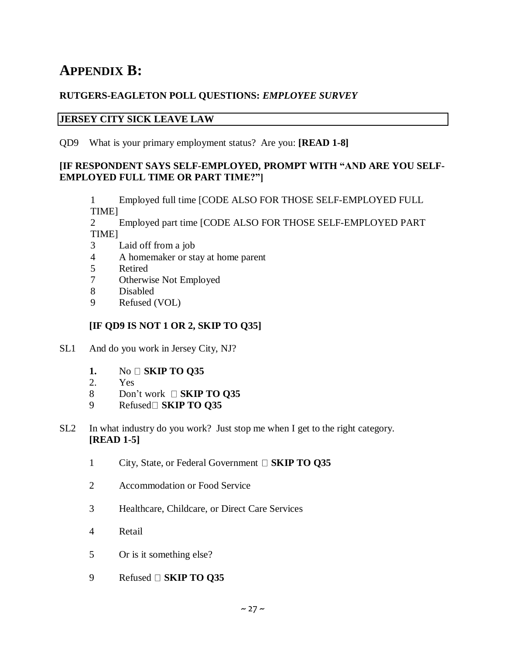# **APPENDIX B:**

#### **RUTGERS-EAGLETON POLL QUESTIONS:** *EMPLOYEE SURVEY*

#### **JERSEY CITY SICK LEAVE LAW**

QD9 What is your primary employment status? Are you: **[READ 1-8]**

#### **[IF RESPONDENT SAYS SELF-EMPLOYED, PROMPT WITH "AND ARE YOU SELF-EMPLOYED FULL TIME OR PART TIME?"]**

1 Employed full time [CODE ALSO FOR THOSE SELF-EMPLOYED FULL TIME]

2 Employed part time [CODE ALSO FOR THOSE SELF-EMPLOYED PART TIME]

- 3 Laid off from a job
- 4 A homemaker or stay at home parent
- 5 Retired<br>7 Otherwi
- Otherwise Not Employed
- 8 Disabled
- 9 Refused (VOL)

#### **[IF QD9 IS NOT 1 OR 2, SKIP TO Q35]**

- SL1 And do you work in Jersey City, NJ?
	- **1.** No **SKIP TO Q35**
	- 2. Yes
	- 8 Don't work **SKIP TO Q35**
	- 9 Refused **SKIP TO Q35**
- SL2 In what industry do you work? Just stop me when I get to the right category. **[READ 1-5]**
	- 1 City, State, or Federal Government  $\Box$  **SKIP TO Q35**
	- 2 Accommodation or Food Service
	- 3 Healthcare, Childcare, or Direct Care Services
	- 4 Retail
	- 5 Or is it something else?
	- 9 Refused **SKIP TO Q35**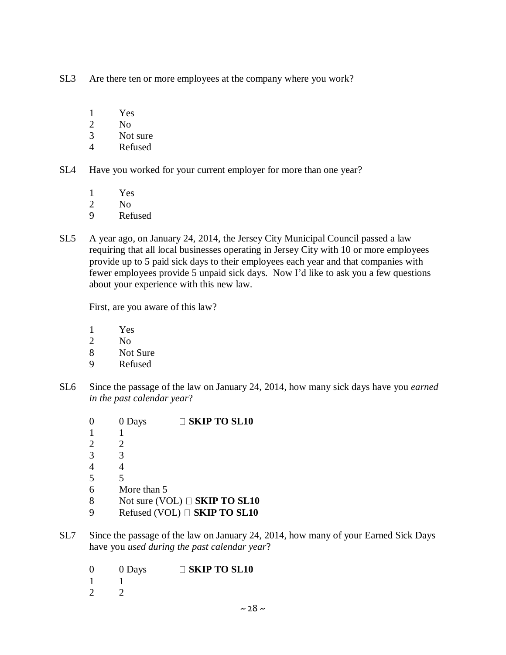- SL3 Are there ten or more employees at the company where you work?
	- 1 Yes
	- 2 No
	- 3 Not sure
	- 4 Refused
- SL4 Have you worked for your current employer for more than one year?
	- 1 Yes
	- 2 No
	- 9 Refused
- SL5 A year ago, on January 24, 2014, the Jersey City Municipal Council passed a law requiring that all local businesses operating in Jersey City with 10 or more employees provide up to 5 paid sick days to their employees each year and that companies with fewer employees provide 5 unpaid sick days. Now I'd like to ask you a few questions about your experience with this new law.

First, are you aware of this law?

- 1 Yes
- 2 No
- 8 Not Sure
- 9 Refused
- SL6 Since the passage of the law on January 24, 2014, how many sick days have you *earned in the past calendar year*?
	- 0 0 Days **SKIP TO SL10** 1 1 2 2 3 3  $\begin{array}{ccc} 4 & & 4 \\ 5 & & 5 \end{array}$ 5 5 6 More than 5 8 Not sure (VOL) **SKIP TO SL10** 9 Refused (VOL) **SKIP TO SL10**
- SL7 Since the passage of the law on January 24, 2014, how many of your Earned Sick Days have you *used during the past calendar year*?
	- 0 0 Days **SKIP TO SL10**  $\begin{matrix} 1 & 1 \\ 2 & 2 \end{matrix}$  $\mathcal{L}$ 
		-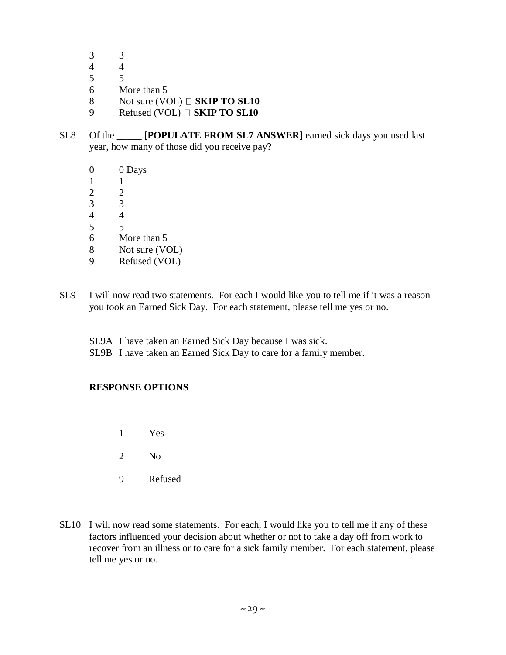- 3 3
- 4 4
- 5 5
- 6 More than 5
- 8 Not sure (VOL)  $\Box$  **SKIP TO SL10**
- 9 Refused (VOL) **SKIP TO SL10**
- SL8 Of the \_\_\_\_\_ **[POPULATE FROM SL7 ANSWER]** earned sick days you used last year, how many of those did you receive pay?
	- 0 0 Days
	- 1 1
	- 2 2
	- 3 3
	- 4 4
	- 5 5
	- 6 More than 5
	- 8 Not sure (VOL)
	- 9 Refused (VOL)
- SL9 I will now read two statements. For each I would like you to tell me if it was a reason you took an Earned Sick Day. For each statement, please tell me yes or no.
	- SL9A I have taken an Earned Sick Day because I was sick.
	- SL9B I have taken an Earned Sick Day to care for a family member.

#### **RESPONSE OPTIONS**

- 1 Yes
- 2 No
- 9 Refused
- SL10 I will now read some statements. For each, I would like you to tell me if any of these factors influenced your decision about whether or not to take a day off from work to recover from an illness or to care for a sick family member. For each statement, please tell me yes or no.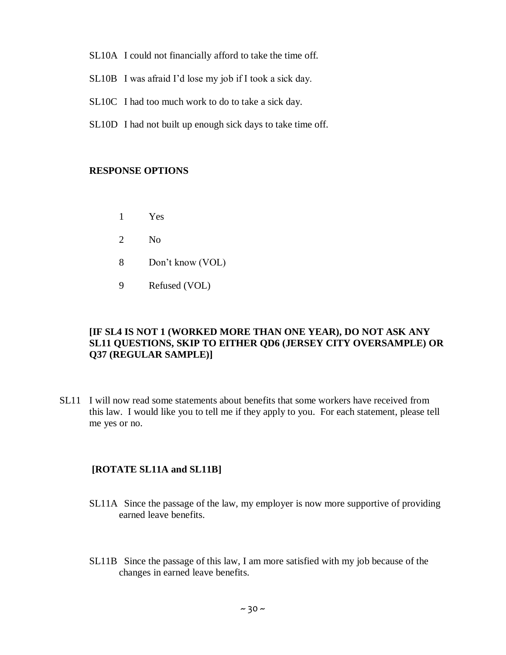- SL10A I could not financially afford to take the time off.
- SL10B I was afraid I'd lose my job if I took a sick day.
- SL10C I had too much work to do to take a sick day.
- SL10D I had not built up enough sick days to take time off.

#### **RESPONSE OPTIONS**

- 1 Yes
- 2 No
- 8 Don't know (VOL)
- 9 Refused (VOL)

#### **[IF SL4 IS NOT 1 (WORKED MORE THAN ONE YEAR), DO NOT ASK ANY SL11 QUESTIONS, SKIP TO EITHER QD6 (JERSEY CITY OVERSAMPLE) OR Q37 (REGULAR SAMPLE)]**

SL11 I will now read some statements about benefits that some workers have received from this law. I would like you to tell me if they apply to you. For each statement, please tell me yes or no.

#### **[ROTATE SL11A and SL11B]**

- SL11A Since the passage of the law, my employer is now more supportive of providing earned leave benefits.
- SL11B Since the passage of this law, I am more satisfied with my job because of the changes in earned leave benefits.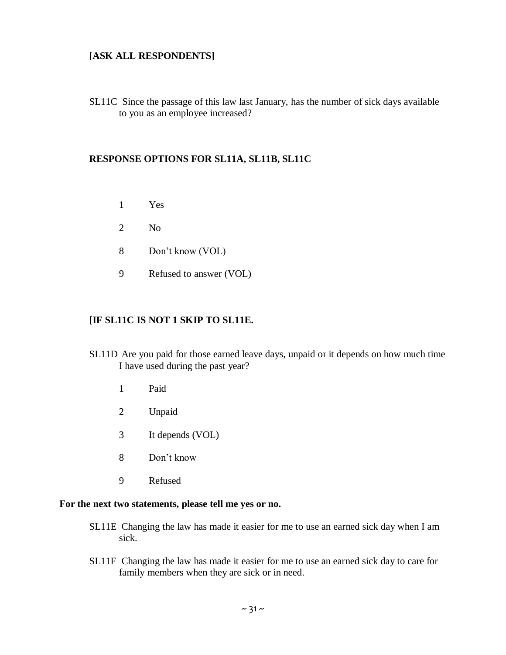#### **[ASK ALL RESPONDENTS]**

SL11C Since the passage of this law last January, has the number of sick days available to you as an employee increased?

#### **RESPONSE OPTIONS FOR SL11A, SL11B, SL11C**

- 1 Yes
- 2 No
- 8 Don't know (VOL)
- 9 Refused to answer (VOL)

#### **[IF SL11C IS NOT 1 SKIP TO SL11E.**

- SL11D Are you paid for those earned leave days, unpaid or it depends on how much time I have used during the past year?
	- 1 Paid
	- 2 Unpaid
	- 3 It depends (VOL)
	- 8 Don't know
	- 9 Refused

#### **For the next two statements, please tell me yes or no.**

- SL11E Changing the law has made it easier for me to use an earned sick day when I am sick.
- SL11F Changing the law has made it easier for me to use an earned sick day to care for family members when they are sick or in need.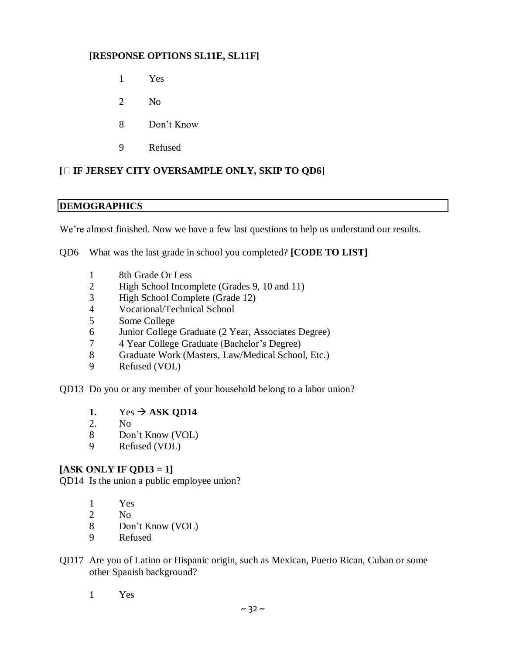#### **[RESPONSE OPTIONS SL11E, SL11F]**

- Yes
- No
- Don't Know
- Refused

#### **[ IF JERSEY CITY OVERSAMPLE ONLY, SKIP TO QD6]**

#### **DEMOGRAPHICS**

We're almost finished. Now we have a few last questions to help us understand our results.

QD6 What was the last grade in school you completed? **[CODE TO LIST]**

- 8th Grade Or Less
- High School Incomplete (Grades 9, 10 and 11)
- High School Complete (Grade 12)
- Vocational/Technical School
- Some College
- Junior College Graduate (2 Year, Associates Degree)
- 4 Year College Graduate (Bachelor's Degree)
- Graduate Work (Masters, Law/Medical School, Etc.)
- Refused (VOL)

QD13 Do you or any member of your household belong to a labor union?

- 1. Yes  $\rightarrow$  ASK QD14
- 2. No
- Don't Know (VOL)
- Refused (VOL)

#### **[ASK ONLY IF QD13 = 1]**

QD14 Is the union a public employee union?

- Yes
- No
- Don't Know (VOL)
- Refused
- QD17 Are you of Latino or Hispanic origin, such as Mexican, Puerto Rican, Cuban or some other Spanish background?
	- Yes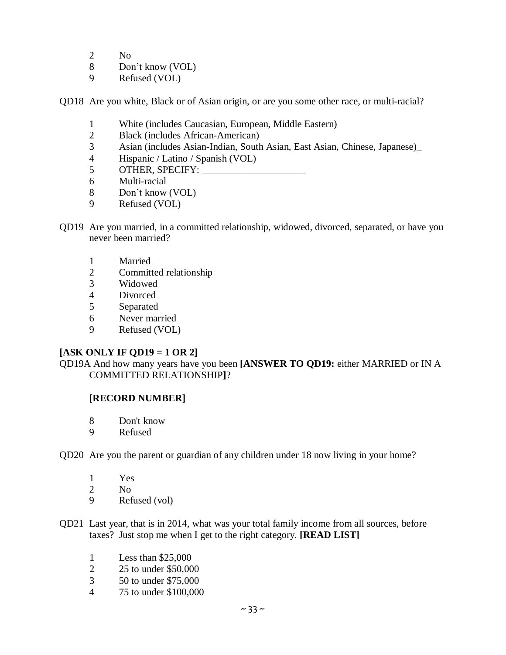- 2 No
- 8 Don't know (VOL)
- 9 Refused (VOL)

QD18 Are you white, Black or of Asian origin, or are you some other race, or multi-racial?

- 1 White (includes Caucasian, European, Middle Eastern)
- 2 Black (includes African-American)
- 3 Asian (includes Asian-Indian, South Asian, East Asian, Chinese, Japanese)\_
- 4 Hispanic / Latino / Spanish (VOL)
- 5 OTHER, SPECIFY:
- 6 Multi-racial
- 8 Don't know (VOL)
- 9 Refused (VOL)
- QD19 Are you married, in a committed relationship, widowed, divorced, separated, or have you never been married?
	- 1 Married
	- 2 Committed relationship
	- 3 Widowed
	- 4 Divorced
	- 5 Separated
	- 6 Never married
	- 9 Refused (VOL)

#### **[ASK ONLY IF QD19 = 1 OR 2]**

QD19A And how many years have you been **[ANSWER TO QD19:** either MARRIED or IN A COMMITTED RELATIONSHIP**]**?

#### **[RECORD NUMBER]**

- 8 Don't know
- 9 Refused
- QD20 Are you the parent or guardian of any children under 18 now living in your home?
	- 1 Yes<br>2 No N<sub>o</sub> 9 Refused (vol)
- QD21 Last year, that is in 2014, what was your total family income from all sources, before taxes? Just stop me when I get to the right category. **[READ LIST]**
	- 1 Less than \$25,000
	- 2 25 to under \$50,000
	- 3 50 to under \$75,000
	- 4 75 to under \$100,000